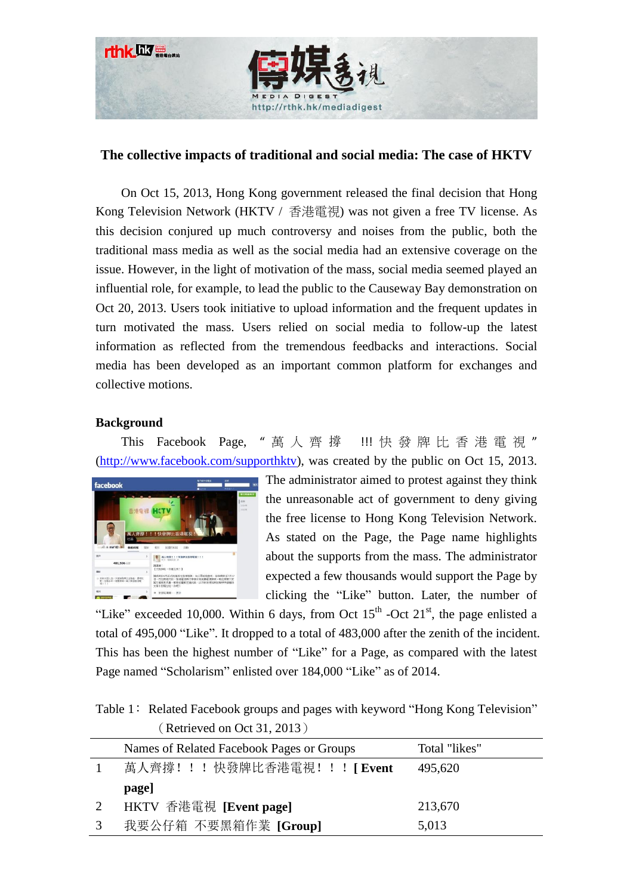

# **The collective impacts of traditional and social media: The case of HKTV**

On Oct 15, 2013, Hong Kong government released the final decision that Hong Kong Television Network (HKTV / 香港電視) was not given a free TV license. As this decision conjured up much controversy and noises from the public, both the traditional mass media as well as the social media had an extensive coverage on the issue. However, in the light of motivation of the mass, social media seemed played an influential role, for example, to lead the public to the Causeway Bay demonstration on Oct 20, 2013. Users took initiative to upload information and the frequent updates in turn motivated the mass. Users relied on social media to follow-up the latest information as reflected from the tremendous feedbacks and interactions. Social media has been developed as an important common platform for exchanges and collective motions.

# **Background**

This Facebook Page, " 萬 人 齊 撐 !!! 快 發 牌 比 香 港 電 視 " [\(http://www.facebook.com/supporthktv\)](http://www.facebook.com/supporthktv), was created by the public on Oct 15, 2013.



The administrator aimed to protest against they think the unreasonable act of government to deny giving the free license to Hong Kong Television Network. As stated on the Page, the Page name highlights about the supports from the mass. The administrator expected a few thousands would support the Page by clicking the "Like" button. Later, the number of

"Like" exceeded 10,000. Within 6 days, from Oct  $15<sup>th</sup>$  -Oct  $21<sup>st</sup>$ , the page enlisted a total of 495,000 "Like". It dropped to a total of 483,000 after the zenith of the incident. This has been the highest number of "Like" for a Page, as compared with the latest Page named "Scholarism" enlisted over 184,000 "Like" as of 2014.

Table 1: Related Facebook groups and pages with keyword "Hong Kong Television" (Retrieved on Oct 31, 2013)

| Names of Related Facebook Pages or Groups | Total "likes" |
|-------------------------------------------|---------------|
| 萬人齊撐! ! ! 快發牌比香港電視! ! ! [ Event           | 495,620       |
| page]                                     |               |
| HKTV 香港電視 [Event page]                    | 213,670       |
| 我要公仔箱 不要黑箱作業 [Group]                      | 5,013         |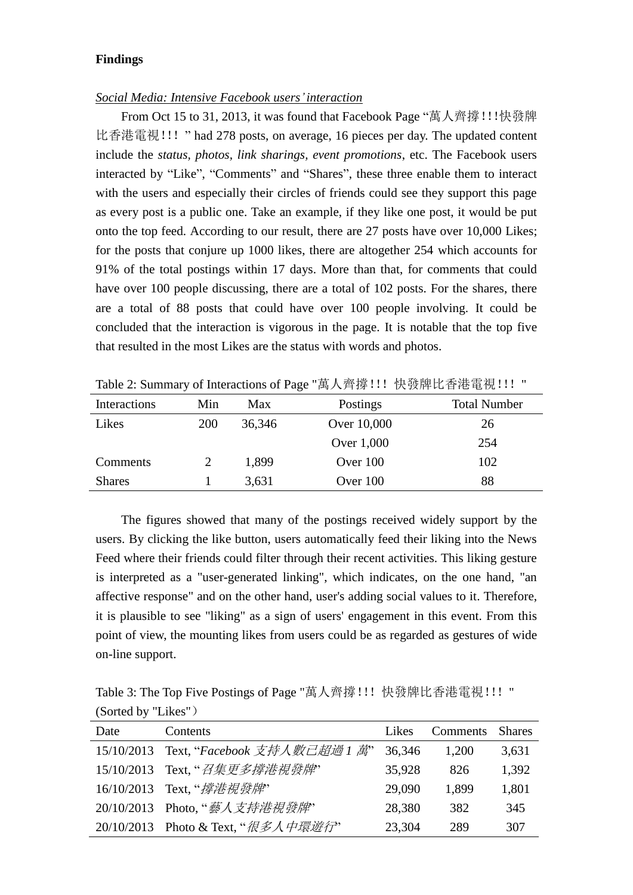## **Findings**

#### *Social Media: Intensive Facebook users'interaction*

From Oct 15 to 31, 2013, it was found that Facebook Page "萬人齊撐!!!快發牌 比香港電視!!! " had 278 posts, on average, 16 pieces per day. The updated content include the *status, photos, link sharings, event promotions*, etc. The Facebook users interacted by "Like", "Comments" and "Shares", these three enable them to interact with the users and especially their circles of friends could see they support this page as every post is a public one. Take an example, if they like one post, it would be put onto the top feed. According to our result, there are 27 posts have over 10,000 Likes; for the posts that conjure up 1000 likes, there are altogether 254 which accounts for 91% of the total postings within 17 days. More than that, for comments that could have over 100 people discussing, there are a total of 102 posts. For the shares, there are a total of 88 posts that could have over 100 people involving. It could be concluded that the interaction is vigorous in the page. It is notable that the top five that resulted in the most Likes are the status with words and photos.

| Interactions  | Min        | Max    | Postings    | <b>Total Number</b> |
|---------------|------------|--------|-------------|---------------------|
| Likes         | <b>200</b> | 36,346 | Over 10,000 | 26                  |
|               |            |        | Over 1,000  | 254                 |
| Comments      |            | 1,899  | Over 100    | 102                 |
| <b>Shares</b> |            | 3,631  | Over 100    | 88                  |

Table 2: Summary of Interactions of Page "萬人齊撐!!! 快發牌比香港電視!!! "

The figures showed that many of the postings received widely support by the users. By clicking the like button, users automatically feed their liking into the News Feed where their friends could filter through their recent activities. This liking gesture is interpreted as a "user-generated linking", which indicates, on the one hand, "an affective response" and on the other hand, user's adding social values to it. Therefore, it is plausible to see "liking" as a sign of users' engagement in this event. From this point of view, the mounting likes from users could be as regarded as gestures of wide on-line support.

Table 3: The Top Five Postings of Page "萬人齊撐!!! 快發牌比香港電視!!! " (Sorted by "Likes")

| Date | Contents                                | Likes  | Comments | <b>Shares</b> |
|------|-----------------------------------------|--------|----------|---------------|
|      | 15/10/2013 Text, "Facebook 支持人數己超過 1 萬" | 36,346 | 1,200    | 3,631         |
|      | 15/10/2013 Text, "召集更多撐港視發牌"            | 35,928 | 826      | 1,392         |
|      | 16/10/2013 Text, " <i>撐港視發牌</i> "       | 29,090 | 1,899    | 1,801         |
|      | 20/10/2013 Photo, "藝人支持港視發牌"            | 28,380 | 382      | 345           |
|      | 20/10/2013 Photo & Text, "很多人中環遊行"      | 23,304 | 289      | 307           |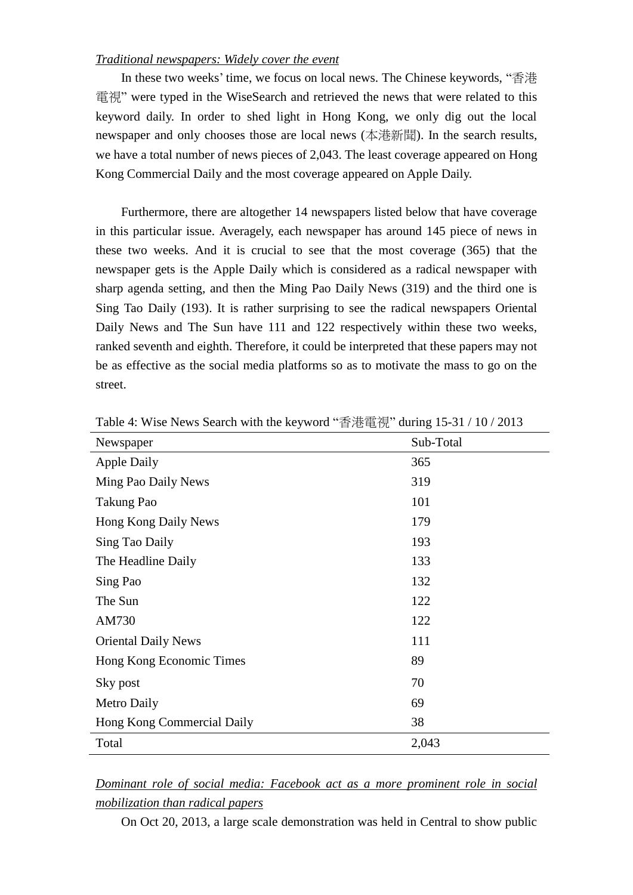## *Traditional newspapers: Widely cover the event*

In these two weeks' time, we focus on local news. The Chinese keywords, "香港 電視" were typed in the WiseSearch and retrieved the news that were related to this keyword daily. In order to shed light in Hong Kong, we only dig out the local newspaper and only chooses those are local news (本港新聞). In the search results, we have a total number of news pieces of 2,043. The least coverage appeared on Hong Kong Commercial Daily and the most coverage appeared on Apple Daily.

Furthermore, there are altogether 14 newspapers listed below that have coverage in this particular issue. Averagely, each newspaper has around 145 piece of news in these two weeks. And it is crucial to see that the most coverage (365) that the newspaper gets is the Apple Daily which is considered as a radical newspaper with sharp agenda setting, and then the Ming Pao Daily News (319) and the third one is Sing Tao Daily (193). It is rather surprising to see the radical newspapers Oriental Daily News and The Sun have 111 and 122 respectively within these two weeks, ranked seventh and eighth. Therefore, it could be interpreted that these papers may not be as effective as the social media platforms so as to motivate the mass to go on the street.

| Newspaper                  | Sub-Total |
|----------------------------|-----------|
| <b>Apple Daily</b>         | 365       |
| Ming Pao Daily News        | 319       |
| Takung Pao                 | 101       |
| Hong Kong Daily News       | 179       |
| Sing Tao Daily             | 193       |
| The Headline Daily         | 133       |
| Sing Pao                   | 132       |
| The Sun                    | 122       |
| AM730                      | 122       |
| <b>Oriental Daily News</b> | 111       |
| Hong Kong Economic Times   | 89        |
| Sky post                   | 70        |
| Metro Daily                | 69        |
| Hong Kong Commercial Daily | 38        |
| Total                      | 2,043     |

Table 4: Wise News Search with the keyword "香港電視" during 15-31 / 10 / 2013

# *Dominant role of social media: Facebook act as a more prominent role in social mobilization than radical papers*

On Oct 20, 2013, a large scale demonstration was held in Central to show public